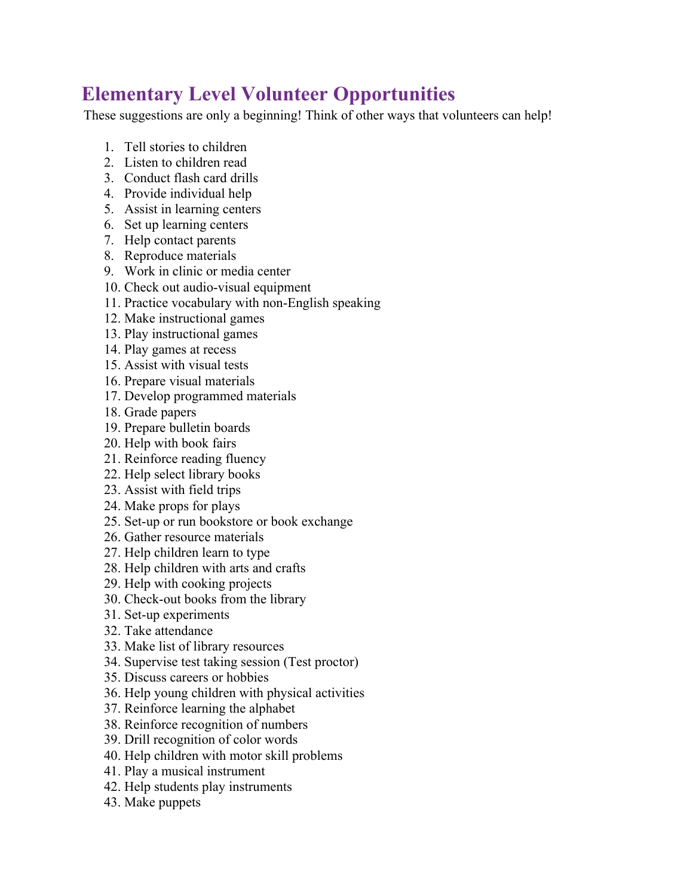## **Elementary Level Volunteer Opportunities**

These suggestions are only a beginning! Think of other ways that volunteers can help!

- 1. Tell stories to children
- 2. Listen to children read
- 3. Conduct flash card drills
- 4. Provide individual help
- 5. Assist in learning centers
- 6. Set up learning centers
- 7. Help contact parents
- 8. Reproduce materials
- 9. Work in clinic or media center
- 10. Check out audio-visual equipment
- 11. Practice vocabulary with non-English speaking
- 12. Make instructional games
- 13. Play instructional games
- 14. Play games at recess
- 15. Assist with visual tests
- 16. Prepare visual materials
- 17. Develop programmed materials
- 18. Grade papers
- 19. Prepare bulletin boards
- 20. Help with book fairs
- 21. Reinforce reading fluency
- 22. Help select library books
- 23. Assist with field trips
- 24. Make props for plays
- 25. Set-up or run bookstore or book exchange
- 26. Gather resource materials
- 27. Help children learn to type
- 28. Help children with arts and crafts
- 29. Help with cooking projects
- 30. Check-out books from the library
- 31. Set-up experiments
- 32. Take attendance
- 33. Make list of library resources
- 34. Supervise test taking session (Test proctor)
- 35. Discuss careers or hobbies
- 36. Help young children with physical activities
- 37. Reinforce learning the alphabet
- 38. Reinforce recognition of numbers
- 39. Drill recognition of color words
- 40. Help children with motor skill problems
- 41. Play a musical instrument
- 42. Help students play instruments
- 43. Make puppets